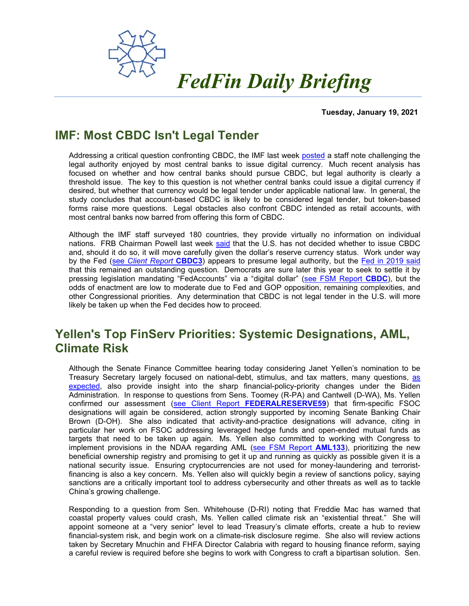

**Tuesday, January 19, 2021**

# **IMF: Most CBDC Isn't Legal Tender**

Addressing a critical question confronting CBDC, the IMF last week [posted](https://www.imf.org/en/Publications/WP/Issues/2020/11/20/Legal-Aspects-of-Central-Bank-Digital-Currency-Central-Bank-and-Monetary-Law-Considerations-49827) a staff note challenging the legal authority enjoyed by most central banks to issue digital currency. Much recent analysis has focused on whether and how central banks should pursue CBDC, but legal authority is clearly a threshold issue. The key to this question is not whether central banks could issue a digital currency if desired, but whether that currency would be legal tender under applicable national law. In general, the study concludes that account-based CBDC is likely to be considered legal tender, but token-based forms raise more questions. Legal obstacles also confront CBDC intended as retail accounts, with most central banks now barred from offering this form of CBDC.

Although the IMF staff surveyed 180 countries, they provide virtually no information on individual nations. FRB Chairman Powell last week [said](https://fedfin.com/wp-content/uploads/2021/01/Daily011421.pdf) that the U.S. has not decided whether to issue CBDC and, should it do so, it will move carefully given the dollar's reserve currency status. Work under way by the Fed (see *[Client Report](https://fedfin.com/wp-content/uploads/2020/08/CBDC3.pdf)* **CBDC3**) appears to presume legal authority, but the [Fed in 2019 said](https://fedfin.com/wp-content/uploads/2020/11/Daily111920.pdf) that this remained an outstanding question. Democrats are sure later this year to seek to settle it by pressing legislation mandating "FedAccounts" via a "digital dollar" [\(see FSM Report](https://fedfin.com/wp-content/uploads/2020/04/cbdc.pdf) **CBDC**), but the odds of enactment are low to moderate due to Fed and GOP opposition, remaining complexities, and other Congressional priorities. Any determination that CBDC is not legal tender in the U.S. will more likely be taken up when the Fed decides how to proceed.

## **Yellen's Top FinServ Priorities: Systemic Designations, AML, Climate Risk**

Although the Senate Finance Committee hearing today considering Janet Yellen's nomination to be Treasury Secretary largely focused on national-debt, stimulus, and tax matters, many questions, [as](https://fedfin.com/wp-content/uploads/2021/01/AL011821.pdf)  [expected,](https://fedfin.com/wp-content/uploads/2021/01/AL011821.pdf) also provide insight into the sharp financial-policy-priority changes under the Biden Administration. In response to questions from Sens. Toomey (R-PA) and Cantwell (D-WA), Ms. Yellen confirmed our assessment (see Client Report **[FEDERALRESERVE59](https://fedfin.com/wp-content/uploads/2020/12/FEDERALRESERVE59.pdf)**) that firm-specific FSOC designations will again be considered, action strongly supported by incoming Senate Banking Chair Brown (D-OH). She also indicated that activity-and-practice designations will advance, citing in particular her work on FSOC addressing leveraged hedge funds and open-ended mutual funds as targets that need to be taken up again. Ms. Yellen also committed to working with Congress to implement provisions in the NDAA regarding AML [\(see FSM Report](https://fedfin.com/wp-content/uploads/2021/01/AML133.pdf) **AML133**), prioritizing the new beneficial ownership registry and promising to get it up and running as quickly as possible given it is a national security issue. Ensuring cryptocurrencies are not used for money-laundering and terroristfinancing is also a key concern. Ms. Yellen also will quickly begin a review of sanctions policy, saying sanctions are a critically important tool to address cybersecurity and other threats as well as to tackle China's growing challenge.

Responding to a question from Sen. Whitehouse (D-RI) noting that Freddie Mac has warned that coastal property values could crash, Ms. Yellen called climate risk an "existential threat." She will appoint someone at a "very senior" level to lead Treasury's climate efforts, create a hub to review financial-system risk, and begin work on a climate-risk disclosure regime. She also will review actions taken by Secretary Mnuchin and FHFA Director Calabria with regard to housing finance reform, saying a careful review is required before she begins to work with Congress to craft a bipartisan solution. Sen.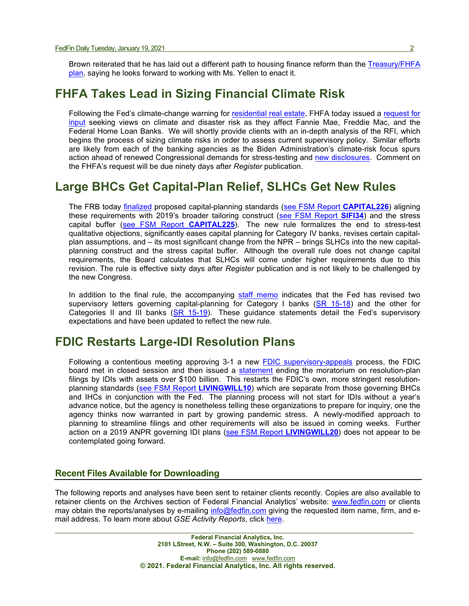Brown reiterated that he has laid out a different path to housing finance reform than the Treasury/FHFA [plan,](https://fedfin.com/wp-content/uploads/2021/01/GSE-011521.pdf) saying he looks forward to working with Ms. Yellen to enact it.

#### **FHFA Takes Lead in Sizing Financial Climate Risk**

Following the Fed's climate-change warning for [residential real estate,](https://fedfin.com/wp-content/uploads/2020/09/GSE-091020.pdf) FHFA today issued a request for [input](https://www.fhfa.gov/Media/PublicAffairs/Pages/FHFA-Issues-RFI-on-Climate-and-Natural-Disaster-Risk-Management-at-the-Regulated-Entities.aspx) seeking views on climate and disaster risk as they affect Fannie Mae, Freddie Mac, and the Federal Home Loan Banks. We will shortly provide clients with an in-depth analysis of the RFI, which begins the process of sizing climate risks in order to assess current supervisory policy. Similar efforts are likely from each of the banking agencies as the Biden Administration's climate-risk focus spurs action ahead of renewed Congressional demands for stress-testing and [new disclosures.](https://fedfin.com/wp-content/uploads/2020/10/FedFin-Issues-Brief-Going-Green-The-Future-of-U.S.-Climate-Risk-Financial-Policy.pdf) Comment on the FHFA's request will be due ninety days after *Register* publication.

## **Large BHCs Get Capital-Plan Relief, SLHCs Get New Rules**

The FRB today [finalized](https://www.federalreserve.gov/newsevents/pressreleases/files/bcreg20210119a1.pdf) proposed capital-planning standards [\(see FSM Report](https://fedfin.com/wp-content/uploads/2020/10/CAPITAL226.pdf) **CAPITAL226**) aligning these requirements with 2019's broader tailoring construct [\(see FSM Report](https://fedfin.com/wp-content/uploads/2019/10/sifi34.pdf) **SIFI34**) and the stress capital buffer [\(see FSM Report](https://fedfin.com/wp-content/uploads/2020/03/capital225.pdf) **CAPITAL225**). The new rule formalizes the end to stress-test qualitative objections, significantly eases capital planning for Category IV banks, revises certain capitalplan assumptions, and – its most significant change from the NPR – brings SLHCs into the new capitalplanning construct and the stress capital buffer. Although the overall rule does not change capital requirements, the Board calculates that SLHCs will come under higher requirements due to this revision. The rule is effective sixty days after *Register* publication and is not likely to be challenged by the new Congress.

In addition to the final rule, the accompanying [staff memo](https://www.federalreserve.gov/newsevents/pressreleases/files/bcreg20210119a2.pdf) indicates that the Fed has revised two supervisory letters governing capital-planning for Category I banks  $(SR 15-18)$  and the other for Categories II and III banks [\(SR 15-19\)](https://www.federalreserve.gov/supervisionreg/srletters/sr1519.htm). These guidance statements detail the Fed's supervisory expectations and have been updated to reflect the new rule.

## **FDIC Restarts Large-IDI Resolution Plans**

Following a contentious meeting approving 3-1 a new [FDIC supervisory-appeals](https://www.fdic.gov/news/board/2021/2021-01-19-notice-dis-a-fr.pdf) process, the FDIC board met in closed session and then issued a [statement](https://www.fdic.gov/resauthority/idi-statement-01-19-2021.pdf?source=govdelivery&utm_medium=email&utm_source=govdelivery) ending the moratorium on resolution-plan filings by IDIs with assets over \$100 billion. This restarts the FDIC's own, more stringent resolutionplanning standards [\(see FSM Report](https://fedfin.com/wp-content/uploads/2014/12/livingwill10.pdf) **LIVINGWILL10**) which are separate from those governing BHCs and IHCs in conjunction with the Fed. The planning process will not start for IDIs without a year's advance notice, but the agency is nonetheless telling these organizations to prepare for inquiry, one the agency thinks now warranted in part by growing pandemic stress. A newly-modified approach to planning to streamline filings and other requirements will also be issued in coming weeks. Further action on a 2019 ANPR governing IDI plans [\(see FSM Report](https://fedfin.com/wp-content/uploads/2019/05/livingwill20.pdf) **LIVINGWILL20**) does not appear to be contemplated going forward.

#### **Recent Files Available for Downloading**

The following reports and analyses have been sent to retainer clients recently. Copies are also available to retainer clients on the Archives section of Federal Financial Analytics' website: [www.fedfin.com](http://www.fedfin.com/) or clients may obtain the reports/analyses by e-mailing [info@fedfin.com](mailto:info@fedfin.com) giving the requested item name, firm, and email address. To learn more about *GSE Activity Reports*, click [here.](https://fedfin.com/gse-activity-report/)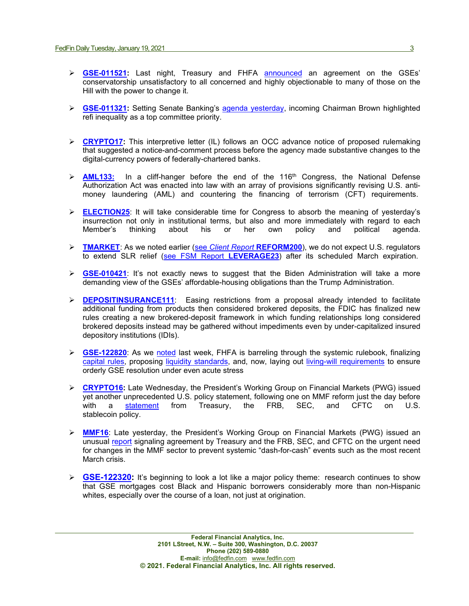- **[GSE-011521:](https://fedfin.com/wp-content/uploads/2021/01/GSE-011521.pdf)** Last night, Treasury and FHFA [announced](https://www.fhfa.gov/Media/PublicAffairs/Pages/FHFA-Announces-Final-Capital-Rule-for-the-Enterprises.aspx) an agreement on the GSEs' conservatorship unsatisfactory to all concerned and highly objectionable to many of those on the Hill with the power to change it.
- ▶ **[GSE-011321:](https://fedfin.com/wp-content/uploads/2021/01/GSE-011321.pdf)** Setting Senate Banking's [agenda yesterday,](https://www.americanbanker.com/news/new-senate-banking-chief-sets-dramatic-change-of-course) incoming Chairman Brown highlighted refi inequality as a top committee priority.
- **[CRYPTO17:](https://fedfin.com/wp-content/uploads/2021/01/CRYPTO17.pdf)** This interpretive letter (IL) follows an OCC advance notice of proposed rulemaking that suggested a notice-and-comment process before the agency made substantive changes to the digital-currency powers of federally-chartered banks.
- **EX[AML133:](https://fedfin.com/wp-content/uploads/2021/01/AML133.pdf)** In a cliff-hanger before the end of the 116<sup>th</sup> Congress, the National Defense Authorization Act was enacted into law with an array of provisions significantly revising U.S. antimoney laundering (AML) and countering the financing of terrorism (CFT) requirements.
- **ELECTION25**: It will take considerable time for Congress to absorb the meaning of yesterday's insurrection not only in institutional terms, but also and more immediately with regard to each Member's thinking about his or her own policy and political agenda.
- **EXARKET**: As we noted earlier (see *[Client Report](https://fedfin.com/wp-content/uploads/2020/12/REFORM200.pdf) REFORM200*), we do not expect U.S. regulators to extend SLR relief [\(see FSM Report](https://www.fedfin.com/dmdocuments/leverage23.pdf) **LEVERAGE23**) after its scheduled March expiration.
- **[GSE-010421](https://fedfin.com/wp-content/uploads/2021/01/GSE-010421.pdf)**: It's not exactly news to suggest that the Biden Administration will take a more demanding view of the GSEs' affordable-housing obligations than the Trump Administration.
- **[DEPOSITINSURANCE111](https://fedfin.com/wp-content/uploads/2020/12/DEPOSITINSURANCE111.pdf)**: Easing restrictions from a proposal already intended to facilitate additional funding from products then considered brokered deposits, the FDIC has finalized new rules creating a new brokered-deposit framework in which funding relationships long considered brokered deposits instead may be gathered without impediments even by under-capitalized insured depository institutions (IDIs).
- **[GSE-122820](https://fedfin.com/wp-content/uploads/2020/12/GSE-122820.pdf)**: As we [noted](https://fedfin.com/wp-content/uploads/2020/12/Daily122220.pdf) last week, FHFA is barreling through the systemic rulebook, finalizing [capital rules,](https://fedfin.com/wp-content/uploads/2020/11/GSE-111920.pdf) proposing [liquidity standards,](https://fedfin.com/wp-content/uploads/2020/12/GSE-122120.pdf) and, now, laying out [living-will requirements](https://www.fhfa.gov/SupervisionRegulation/Rules/RuleDocuments/Resolution%20Planning%20NPR%20TO%20FR_for%20website.pdf) to ensure orderly GSE resolution under even acute stress
- **[CRYPTO16:](https://fedfin.com/wp-content/uploads/2020/12/CRYPTO16.pdf)** Late Wednesday, the President's Working Group on Financial Markets (PWG) issued yet another unprecedented U.S. policy statement, following one on MMF reform just the day before with a statement from Treasury, the FRB, SEC, and CFTC on U.S. with a <u>[statement](https://home.treasury.gov/system/files/136/PWG-Stablecoin-Statement-12-23-2020-CLEAN.pdf)</u> from Treasury, the FRB, SEC, and CFTC on U.S. stablecoin policy.
- **[MMF16](https://fedfin.com/wp-content/uploads/2020/12/MMF16.pdf)**: Late yesterday, the President's Working Group on Financial Markets (PWG) issued an unusual [report](https://home.treasury.gov/system/files/136/PWG-MMF-report-final-Dec-2020.pdf) signaling agreement by Treasury and the FRB, SEC, and CFTC on the urgent need for changes in the MMF sector to prevent systemic "dash-for-cash" events such as the most recent March crisis.
- **► [GSE-122320:](https://fedfin.com/wp-content/uploads/2021/01/GSE-122320.pdf)** It's beginning to look a lot like a major policy theme: research continues to show that GSE mortgages cost Black and Hispanic borrowers considerably more than non-Hispanic whites, especially over the course of a loan, not just at origination.